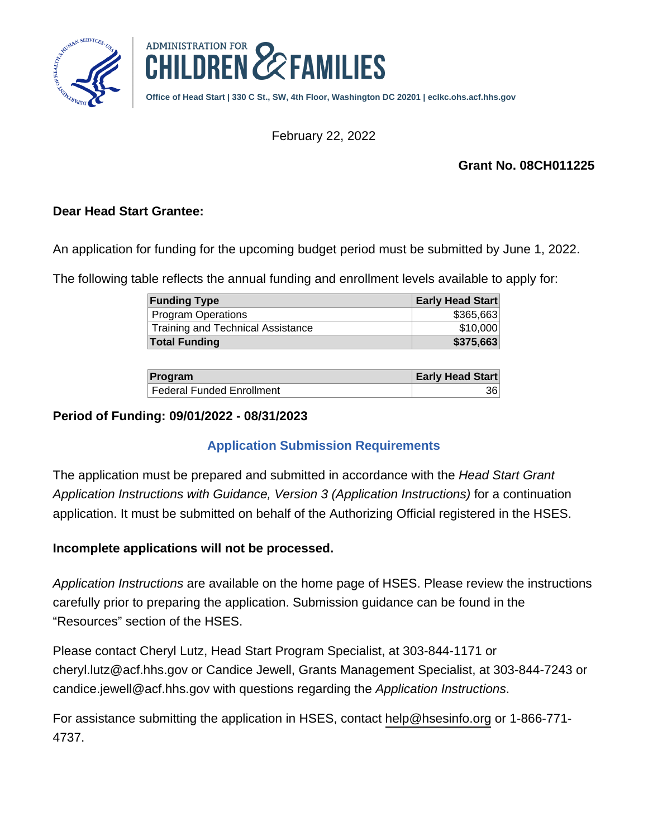



**Office of Head Start | 330 C St., SW, 4th Floor, Washington DC 20201 | [eclkc.ohs.acf.hhs.gov](https://eclkc.ohs.acf.hhs.gov)**

February 22, 2022

### **Grant No. 08CH011225**

### **Dear Head Start Grantee:**

An application for funding for the upcoming budget period must be submitted by June 1, 2022.

The following table reflects the annual funding and enrollment levels available to apply for:

| <b>Funding Type</b>               | Early Head Start |
|-----------------------------------|------------------|
| <b>Program Operations</b>         | \$365,663        |
| Training and Technical Assistance | \$10,000         |
| <b>Total Funding</b>              | \$375,663        |

| Program                     | <b>Early Head Start</b> |
|-----------------------------|-------------------------|
| l Federal Funded Enrollment | 361                     |

#### **Period of Funding: 09/01/2022 - 08/31/2023**

# **Application Submission Requirements**

The application must be prepared and submitted in accordance with the Head Start Grant Application Instructions with Guidance, Version 3 (Application Instructions) for a continuation application. It must be submitted on behalf of the Authorizing Official registered in the HSES.

# **Incomplete applications will not be processed.**

Application Instructions are available on the home page of HSES. Please review the instructions carefully prior to preparing the application. Submission guidance can be found in the "Resources" section of the HSES.

Please contact Cheryl Lutz, Head Start Program Specialist, at 303-844-1171 or cheryl.lutz@acf.hhs.gov or Candice Jewell, Grants Management Specialist, at 303-844-7243 or candice.jewell@acf.hhs.gov with questions regarding the Application Instructions.

For assistance submitting the application in HSES, contact [help@hsesinfo.org](mailto:help@hsesinfo.org) or 1-866-771- 4737.